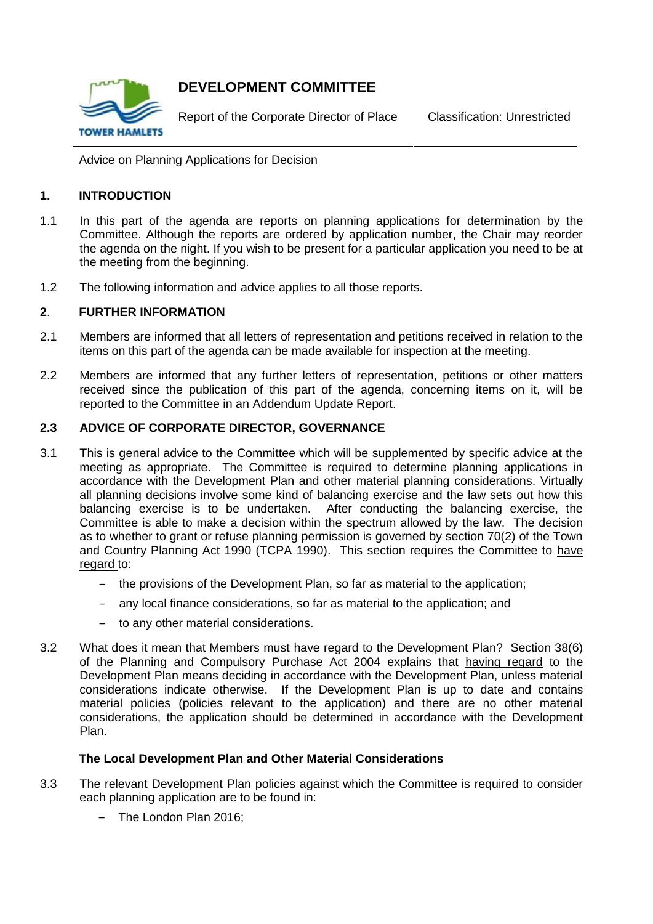

# **DEVELOPMENT COMMITTEE**

Report of the Corporate Director of Place Classification: Unrestricted

Advice on Planning Applications for Decision

## **1. INTRODUCTION**

- 1.1 In this part of the agenda are reports on planning applications for determination by the Committee. Although the reports are ordered by application number, the Chair may reorder the agenda on the night. If you wish to be present for a particular application you need to be at the meeting from the beginning.
- 1.2 The following information and advice applies to all those reports.

## **2**. **FURTHER INFORMATION**

- 2.1 Members are informed that all letters of representation and petitions received in relation to the items on this part of the agenda can be made available for inspection at the meeting.
- 2.2 Members are informed that any further letters of representation, petitions or other matters received since the publication of this part of the agenda, concerning items on it, will be reported to the Committee in an Addendum Update Report.

## **2.3 ADVICE OF CORPORATE DIRECTOR, GOVERNANCE**

- 3.1 This is general advice to the Committee which will be supplemented by specific advice at the meeting as appropriate. The Committee is required to determine planning applications in accordance with the Development Plan and other material planning considerations. Virtually all planning decisions involve some kind of balancing exercise and the law sets out how this balancing exercise is to be undertaken. After conducting the balancing exercise, the Committee is able to make a decision within the spectrum allowed by the law. The decision as to whether to grant or refuse planning permission is governed by section 70(2) of the Town and Country Planning Act 1990 (TCPA 1990). This section requires the Committee to have regard to:
	- ‒ the provisions of the Development Plan, so far as material to the application;
	- ‒ any local finance considerations, so far as material to the application; and
	- ‒ to any other material considerations.
- 3.2 What does it mean that Members must have regard to the Development Plan? Section 38(6) of the Planning and Compulsory Purchase Act 2004 explains that having regard to the Development Plan means deciding in accordance with the Development Plan, unless material considerations indicate otherwise. If the Development Plan is up to date and contains material policies (policies relevant to the application) and there are no other material considerations, the application should be determined in accordance with the Development Plan.

## **The Local Development Plan and Other Material Considerations**

- 3.3 The relevant Development Plan policies against which the Committee is required to consider each planning application are to be found in:
	- The London Plan 2016: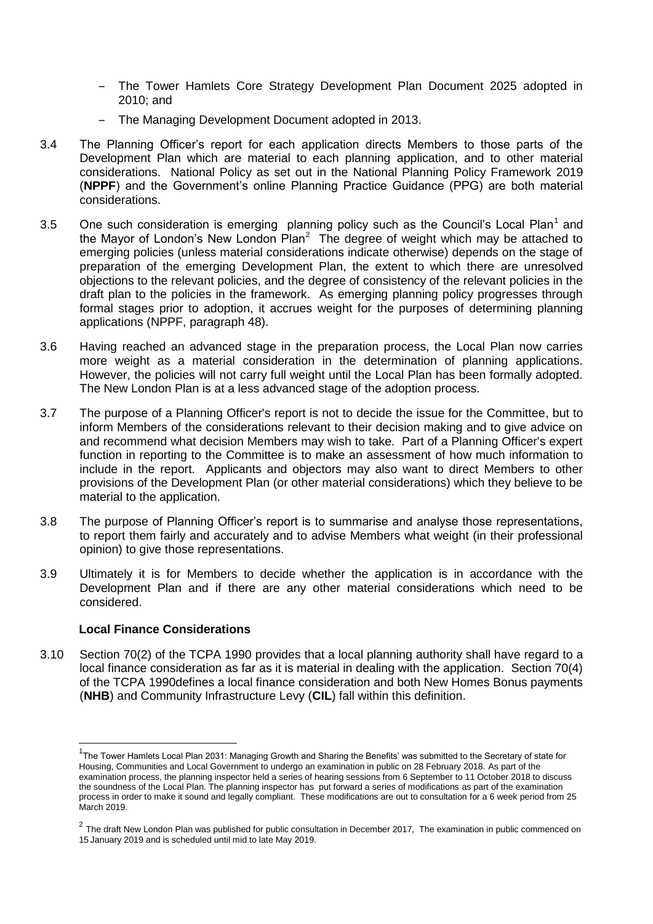- ‒ The Tower Hamlets Core Strategy Development Plan Document 2025 adopted in 2010; and
- ‒ The Managing Development Document adopted in 2013.
- 3.4 The Planning Officer's report for each application directs Members to those parts of the Development Plan which are material to each planning application, and to other material considerations. National Policy as set out in the National Planning Policy Framework 2019 (**NPPF**) and the Government's online Planning Practice Guidance (PPG) are both material considerations.
- 3.5 One such consideration is emerging planning policy such as the Council's Local Plan<sup>1</sup> and the Mayor of London's New London Plan<sup>2</sup> The degree of weight which may be attached to emerging policies (unless material considerations indicate otherwise) depends on the stage of preparation of the emerging Development Plan, the extent to which there are unresolved objections to the relevant policies, and the degree of consistency of the relevant policies in the draft plan to the policies in the framework. As emerging planning policy progresses through formal stages prior to adoption, it accrues weight for the purposes of determining planning applications (NPPF, paragraph 48).
- 3.6 Having reached an advanced stage in the preparation process, the Local Plan now carries more weight as a material consideration in the determination of planning applications. However, the policies will not carry full weight until the Local Plan has been formally adopted. The New London Plan is at a less advanced stage of the adoption process.
- 3.7 The purpose of a Planning Officer's report is not to decide the issue for the Committee, but to inform Members of the considerations relevant to their decision making and to give advice on and recommend what decision Members may wish to take. Part of a Planning Officer's expert function in reporting to the Committee is to make an assessment of how much information to include in the report. Applicants and objectors may also want to direct Members to other provisions of the Development Plan (or other material considerations) which they believe to be material to the application.
- 3.8 The purpose of Planning Officer's report is to summarise and analyse those representations, to report them fairly and accurately and to advise Members what weight (in their professional opinion) to give those representations.
- 3.9 Ultimately it is for Members to decide whether the application is in accordance with the Development Plan and if there are any other material considerations which need to be considered.

## **Local Finance Considerations**

1

3.10 Section 70(2) of the TCPA 1990 provides that a local planning authority shall have regard to a local finance consideration as far as it is material in dealing with the application. Section 70(4) of the TCPA 1990defines a local finance consideration and both New Homes Bonus payments (**NHB**) and Community Infrastructure Levy (**CIL**) fall within this definition.

<sup>&</sup>lt;sup>1</sup>The Tower Hamlets Local Plan 2031: Managing Growth and Sharing the Benefits' was submitted to the Secretary of state for Housing, Communities and Local Government to undergo an examination in public on 28 February 2018. As part of the examination process, the planning inspector held a series of hearing sessions from 6 September to 11 October 2018 to discuss the soundness of the Local Plan. The planning inspector has put forward a series of modifications as part of the examination process in order to make it sound and legally compliant. These modifications are out to consultation for a 6 week period from 25 March 2019.

 $2$  The draft New London Plan was published for public consultation in December 2017, The examination in public commenced on 15 January 2019 and is scheduled until mid to late May 2019.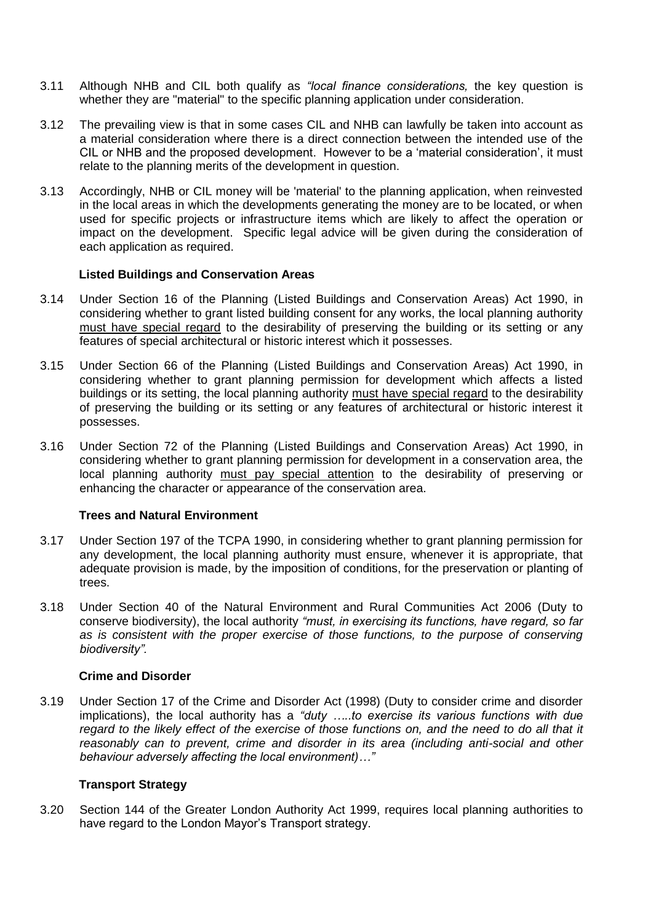- 3.11 Although NHB and CIL both qualify as *"local finance considerations,* the key question is whether they are "material" to the specific planning application under consideration.
- 3.12 The prevailing view is that in some cases CIL and NHB can lawfully be taken into account as a material consideration where there is a direct connection between the intended use of the CIL or NHB and the proposed development. However to be a 'material consideration', it must relate to the planning merits of the development in question.
- 3.13 Accordingly, NHB or CIL money will be 'material' to the planning application, when reinvested in the local areas in which the developments generating the money are to be located, or when used for specific projects or infrastructure items which are likely to affect the operation or impact on the development. Specific legal advice will be given during the consideration of each application as required.

#### **Listed Buildings and Conservation Areas**

- 3.14 Under Section 16 of the Planning (Listed Buildings and Conservation Areas) Act 1990, in considering whether to grant listed building consent for any works, the local planning authority must have special regard to the desirability of preserving the building or its setting or any features of special architectural or historic interest which it possesses.
- 3.15 Under Section 66 of the Planning (Listed Buildings and Conservation Areas) Act 1990, in considering whether to grant planning permission for development which affects a listed buildings or its setting, the local planning authority must have special regard to the desirability of preserving the building or its setting or any features of architectural or historic interest it possesses.
- 3.16 Under Section 72 of the Planning (Listed Buildings and Conservation Areas) Act 1990, in considering whether to grant planning permission for development in a conservation area, the local planning authority must pay special attention to the desirability of preserving or enhancing the character or appearance of the conservation area.

#### **Trees and Natural Environment**

- 3.17 Under Section 197 of the TCPA 1990, in considering whether to grant planning permission for any development, the local planning authority must ensure, whenever it is appropriate, that adequate provision is made, by the imposition of conditions, for the preservation or planting of trees.
- 3.18 Under Section 40 of the Natural Environment and Rural Communities Act 2006 (Duty to conserve biodiversity), the local authority *"must, in exercising its functions, have regard, so far as is consistent with the proper exercise of those functions, to the purpose of conserving biodiversity".*

#### **Crime and Disorder**

3.19 Under Section 17 of the Crime and Disorder Act (1998) (Duty to consider crime and disorder implications), the local authority has a *"duty …..to exercise its various functions with due*  regard to the likely effect of the exercise of those functions on, and the need to do all that it *reasonably can to prevent, crime and disorder in its area (including anti-social and other behaviour adversely affecting the local environment)…"*

#### **Transport Strategy**

3.20 Section 144 of the Greater London Authority Act 1999, requires local planning authorities to have regard to the London Mayor's Transport strategy.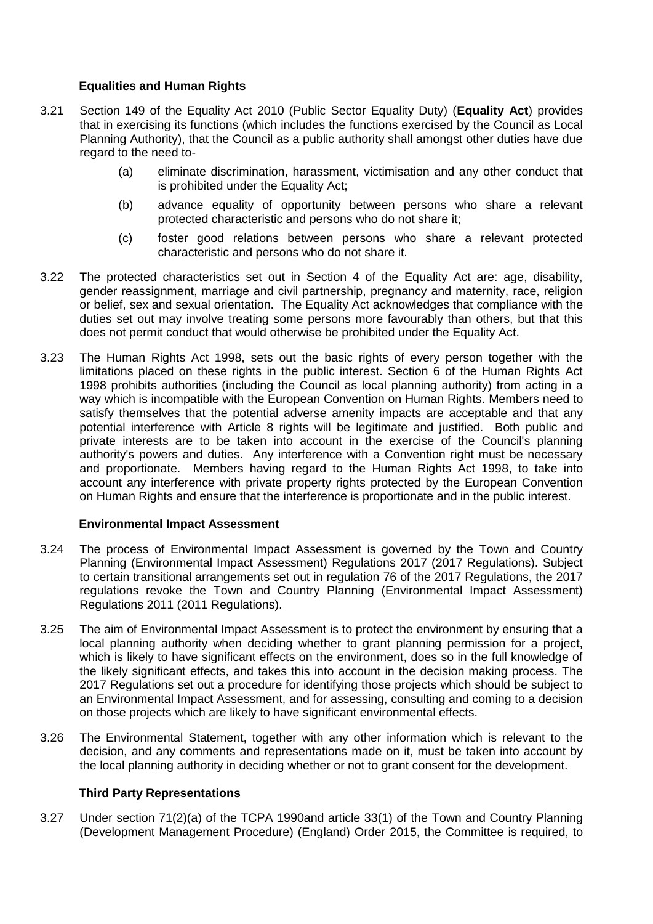# **Equalities and Human Rights**

- 3.21 Section 149 of the Equality Act 2010 (Public Sector Equality Duty) (**Equality Act**) provides that in exercising its functions (which includes the functions exercised by the Council as Local Planning Authority), that the Council as a public authority shall amongst other duties have due regard to the need to-
	- (a) eliminate discrimination, harassment, victimisation and any other conduct that is prohibited under the Equality Act;
	- (b) advance equality of opportunity between persons who share a relevant protected characteristic and persons who do not share it;
	- (c) foster good relations between persons who share a relevant protected characteristic and persons who do not share it.
- 3.22 The protected characteristics set out in Section 4 of the Equality Act are: age, disability, gender reassignment, marriage and civil partnership, pregnancy and maternity, race, religion or belief, sex and sexual orientation. The Equality Act acknowledges that compliance with the duties set out may involve treating some persons more favourably than others, but that this does not permit conduct that would otherwise be prohibited under the Equality Act.
- 3.23 The Human Rights Act 1998, sets out the basic rights of every person together with the limitations placed on these rights in the public interest. Section 6 of the Human Rights Act 1998 prohibits authorities (including the Council as local planning authority) from acting in a way which is incompatible with the European Convention on Human Rights. Members need to satisfy themselves that the potential adverse amenity impacts are acceptable and that any potential interference with Article 8 rights will be legitimate and justified. Both public and private interests are to be taken into account in the exercise of the Council's planning authority's powers and duties. Any interference with a Convention right must be necessary and proportionate. Members having regard to the Human Rights Act 1998, to take into account any interference with private property rights protected by the European Convention on Human Rights and ensure that the interference is proportionate and in the public interest.

## **Environmental Impact Assessment**

- 3.24 The process of Environmental Impact Assessment is governed by the Town and Country Planning (Environmental Impact Assessment) Regulations 2017 (2017 Regulations). Subject to certain transitional arrangements set out in regulation 76 of the 2017 Regulations, the 2017 regulations revoke the Town and Country Planning (Environmental Impact Assessment) Regulations 2011 (2011 Regulations).
- 3.25 The aim of Environmental Impact Assessment is to protect the environment by ensuring that a local planning authority when deciding whether to grant planning permission for a project, which is likely to have significant effects on the environment, does so in the full knowledge of the likely significant effects, and takes this into account in the decision making process. The 2017 Regulations set out a procedure for identifying those projects which should be subject to an Environmental Impact Assessment, and for assessing, consulting and coming to a decision on those projects which are likely to have significant environmental effects.
- 3.26 The Environmental Statement, together with any other information which is relevant to the decision, and any comments and representations made on it, must be taken into account by the local planning authority in deciding whether or not to grant consent for the development.

## **Third Party Representations**

3.27 Under section 71(2)(a) of the TCPA 1990and article 33(1) of the Town and Country Planning (Development Management Procedure) (England) Order 2015, the Committee is required, to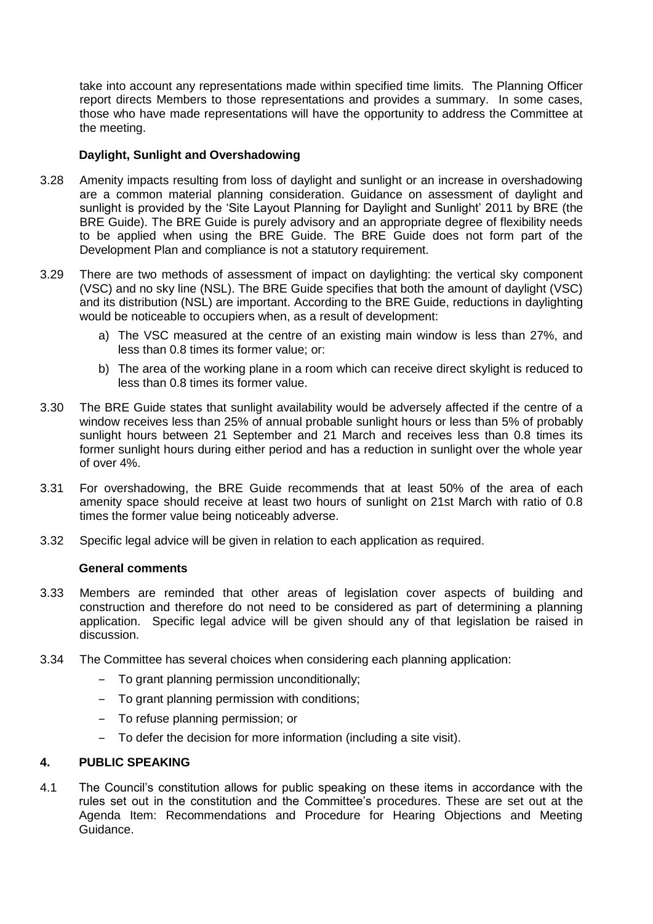take into account any representations made within specified time limits. The Planning Officer report directs Members to those representations and provides a summary. In some cases, those who have made representations will have the opportunity to address the Committee at the meeting.

## **Daylight, Sunlight and Overshadowing**

- 3.28 Amenity impacts resulting from loss of daylight and sunlight or an increase in overshadowing are a common material planning consideration. Guidance on assessment of daylight and sunlight is provided by the 'Site Layout Planning for Daylight and Sunlight' 2011 by BRE (the BRE Guide). The BRE Guide is purely advisory and an appropriate degree of flexibility needs to be applied when using the BRE Guide. The BRE Guide does not form part of the Development Plan and compliance is not a statutory requirement.
- 3.29 There are two methods of assessment of impact on daylighting: the vertical sky component (VSC) and no sky line (NSL). The BRE Guide specifies that both the amount of daylight (VSC) and its distribution (NSL) are important. According to the BRE Guide, reductions in daylighting would be noticeable to occupiers when, as a result of development:
	- a) The VSC measured at the centre of an existing main window is less than 27%, and less than 0.8 times its former value; or:
	- b) The area of the working plane in a room which can receive direct skylight is reduced to less than 0.8 times its former value.
- 3.30 The BRE Guide states that sunlight availability would be adversely affected if the centre of a window receives less than 25% of annual probable sunlight hours or less than 5% of probably sunlight hours between 21 September and 21 March and receives less than 0.8 times its former sunlight hours during either period and has a reduction in sunlight over the whole year of over 4%.
- 3.31 For overshadowing, the BRE Guide recommends that at least 50% of the area of each amenity space should receive at least two hours of sunlight on 21st March with ratio of 0.8 times the former value being noticeably adverse.
- 3.32 Specific legal advice will be given in relation to each application as required.

## **General comments**

- 3.33 Members are reminded that other areas of legislation cover aspects of building and construction and therefore do not need to be considered as part of determining a planning application. Specific legal advice will be given should any of that legislation be raised in discussion.
- 3.34 The Committee has several choices when considering each planning application:
	- ‒ To grant planning permission unconditionally;
	- ‒ To grant planning permission with conditions;
	- ‒ To refuse planning permission; or
	- ‒ To defer the decision for more information (including a site visit).

## **4. PUBLIC SPEAKING**

4.1 The Council's constitution allows for public speaking on these items in accordance with the rules set out in the constitution and the Committee's procedures. These are set out at the Agenda Item: Recommendations and Procedure for Hearing Objections and Meeting Guidance.